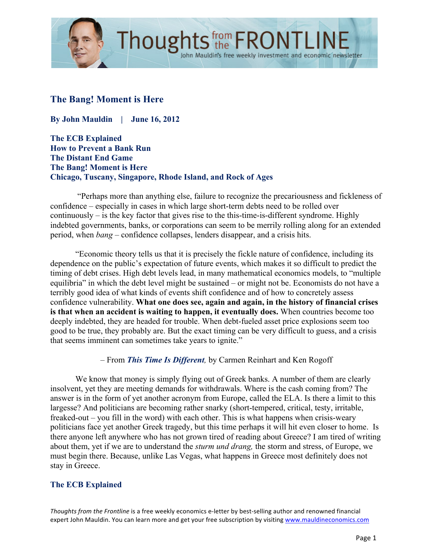

# **The Bang! Moment is Here**

**By John Mauldin | June 16, 2012**

**The ECB Explained How to Prevent a Bank Run The Distant End Game The Bang! Moment is Here Chicago, Tuscany, Singapore, Rhode Island, and Rock of Ages** 

"Perhaps more than anything else, failure to recognize the precariousness and fickleness of confidence – especially in cases in which large short-term debts need to be rolled over continuously – is the key factor that gives rise to the this-time-is-different syndrome. Highly indebted governments, banks, or corporations can seem to be merrily rolling along for an extended period, when *bang –* confidence collapses, lenders disappear, and a crisis hits.

"Economic theory tells us that it is precisely the fickle nature of confidence, including its dependence on the public's expectation of future events, which makes it so difficult to predict the timing of debt crises. High debt levels lead, in many mathematical economics models, to "multiple equilibria" in which the debt level might be sustained – or might not be. Economists do not have a terribly good idea of what kinds of events shift confidence and of how to concretely assess confidence vulnerability. **What one does see, again and again, in the history of financial crises is that when an accident is waiting to happen, it eventually does.** When countries become too deeply indebted, they are headed for trouble. When debt-fueled asset price explosions seem too good to be true, they probably are. But the exact timing can be very difficult to guess, and a crisis that seems imminent can sometimes take years to ignite."

– From *This Time Is Different,* by Carmen Reinhart and Ken Rogoff

We know that money is simply flying out of Greek banks. A number of them are clearly insolvent, yet they are meeting demands for withdrawals. Where is the cash coming from? The answer is in the form of yet another acronym from Europe, called the ELA. Is there a limit to this largesse? And politicians are becoming rather snarky (short-tempered, critical, testy, irritable, freaked-out – you fill in the word) with each other. This is what happens when crisis-weary politicians face yet another Greek tragedy, but this time perhaps it will hit even closer to home. Is there anyone left anywhere who has not grown tired of reading about Greece? I am tired of writing about them, yet if we are to understand the *sturm und drang,* the storm and stress, of Europe, we must begin there. Because, unlike Las Vegas, what happens in Greece most definitely does not stay in Greece.

## **The ECB Explained**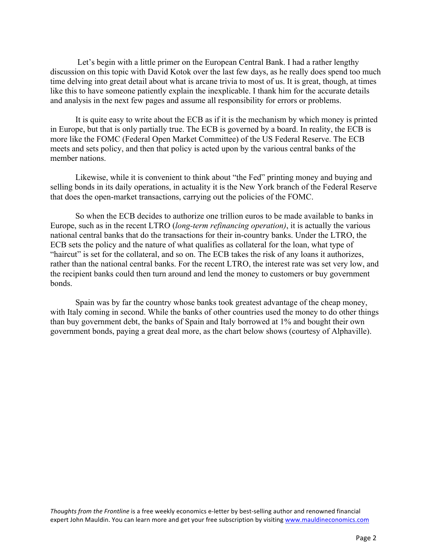Let's begin with a little primer on the European Central Bank. I had a rather lengthy discussion on this topic with David Kotok over the last few days, as he really does spend too much time delving into great detail about what is arcane trivia to most of us. It is great, though, at times like this to have someone patiently explain the inexplicable. I thank him for the accurate details and analysis in the next few pages and assume all responsibility for errors or problems.

It is quite easy to write about the ECB as if it is the mechanism by which money is printed in Europe, but that is only partially true. The ECB is governed by a board. In reality, the ECB is more like the FOMC (Federal Open Market Committee) of the US Federal Reserve. The ECB meets and sets policy, and then that policy is acted upon by the various central banks of the member nations.

Likewise, while it is convenient to think about "the Fed" printing money and buying and selling bonds in its daily operations, in actuality it is the New York branch of the Federal Reserve that does the open-market transactions, carrying out the policies of the FOMC.

So when the ECB decides to authorize one trillion euros to be made available to banks in Europe, such as in the recent LTRO (*long-term refinancing operation)*, it is actually the various national central banks that do the transactions for their in-country banks. Under the LTRO, the ECB sets the policy and the nature of what qualifies as collateral for the loan, what type of "haircut" is set for the collateral, and so on. The ECB takes the risk of any loans it authorizes, rather than the national central banks. For the recent LTRO, the interest rate was set very low, and the recipient banks could then turn around and lend the money to customers or buy government bonds.

Spain was by far the country whose banks took greatest advantage of the cheap money, with Italy coming in second. While the banks of other countries used the money to do other things than buy government debt, the banks of Spain and Italy borrowed at 1% and bought their own government bonds, paying a great deal more, as the chart below shows (courtesy of Alphaville).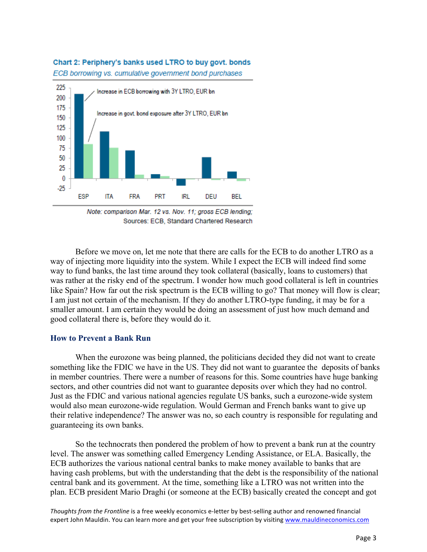#### Chart 2: Periphery's banks used LTRO to buy govt. bonds

ECB borrowing vs. cumulative government bond purchases



Note: comparison Mar. 12 vs. Nov. 11; gross ECB lending; Sources: ECB, Standard Chartered Research

Before we move on, let me note that there are calls for the ECB to do another LTRO as a way of injecting more liquidity into the system. While I expect the ECB will indeed find some way to fund banks, the last time around they took collateral (basically, loans to customers) that was rather at the risky end of the spectrum. I wonder how much good collateral is left in countries like Spain? How far out the risk spectrum is the ECB willing to go? That money will flow is clear; I am just not certain of the mechanism. If they do another LTRO-type funding, it may be for a smaller amount. I am certain they would be doing an assessment of just how much demand and good collateral there is, before they would do it.

#### **How to Prevent a Bank Run**

When the eurozone was being planned, the politicians decided they did not want to create something like the FDIC we have in the US. They did not want to guarantee the deposits of banks in member countries. There were a number of reasons for this. Some countries have huge banking sectors, and other countries did not want to guarantee deposits over which they had no control. Just as the FDIC and various national agencies regulate US banks, such a eurozone-wide system would also mean eurozone-wide regulation. Would German and French banks want to give up their relative independence? The answer was no, so each country is responsible for regulating and guaranteeing its own banks.

So the technocrats then pondered the problem of how to prevent a bank run at the country level. The answer was something called Emergency Lending Assistance, or ELA. Basically, the ECB authorizes the various national central banks to make money available to banks that are having cash problems, but with the understanding that the debt is the responsibility of the national central bank and its government. At the time, something like a LTRO was not written into the plan. ECB president Mario Draghi (or someone at the ECB) basically created the concept and got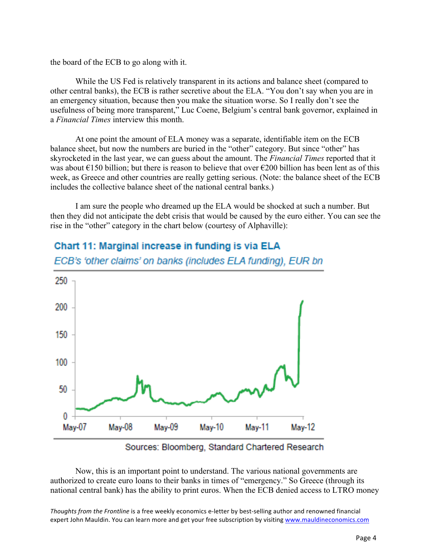the board of the ECB to go along with it.

While the US Fed is relatively transparent in its actions and balance sheet (compared to other central banks), the ECB is rather secretive about the ELA. "You don't say when you are in an emergency situation, because then you make the situation worse. So I really don't see the usefulness of being more transparent," Luc Coene, Belgium's central bank governor, explained in a *Financial Times* interview this month.

At one point the amount of ELA money was a separate, identifiable item on the ECB balance sheet, but now the numbers are buried in the "other" category. But since "other" has skyrocketed in the last year, we can guess about the amount. The *Financial Times* reported that it was about  $\epsilon$ 150 billion; but there is reason to believe that over  $\epsilon$ 200 billion has been lent as of this week, as Greece and other countries are really getting serious. (Note: the balance sheet of the ECB includes the collective balance sheet of the national central banks.)

I am sure the people who dreamed up the ELA would be shocked at such a number. But then they did not anticipate the debt crisis that would be caused by the euro either. You can see the rise in the "other" category in the chart below (courtesy of Alphaville):



# Chart 11: Marginal increase in funding is via ELA ECB's 'other claims' on banks (includes ELA funding), EUR bn

Sources: Bloomberg, Standard Chartered Research

Now, this is an important point to understand. The various national governments are authorized to create euro loans to their banks in times of "emergency." So Greece (through its national central bank) has the ability to print euros. When the ECB denied access to LTRO money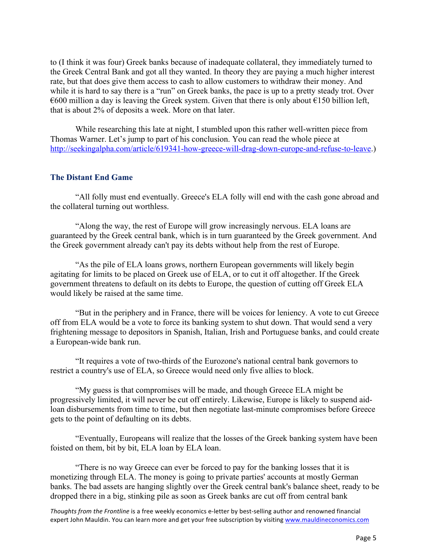to (I think it was four) Greek banks because of inadequate collateral, they immediately turned to the Greek Central Bank and got all they wanted. In theory they are paying a much higher interest rate, but that does give them access to cash to allow customers to withdraw their money. And while it is hard to say there is a "run" on Greek banks, the pace is up to a pretty steady trot. Over  $\epsilon$ 600 million a day is leaving the Greek system. Given that there is only about  $\epsilon$ 150 billion left, that is about 2% of deposits a week. More on that later.

While researching this late at night, I stumbled upon this rather well-written piece from Thomas Warner. Let's jump to part of his conclusion. You can read the whole piece at http://seekingalpha.com/article/619341-how-greece-will-drag-down-europe-and-refuse-to-leave.)

#### **The Distant End Game**

"All folly must end eventually. Greece's ELA folly will end with the cash gone abroad and the collateral turning out worthless.

"Along the way, the rest of Europe will grow increasingly nervous. ELA loans are guaranteed by the Greek central bank, which is in turn guaranteed by the Greek government. And the Greek government already can't pay its debts without help from the rest of Europe.

"As the pile of ELA loans grows, northern European governments will likely begin agitating for limits to be placed on Greek use of ELA, or to cut it off altogether. If the Greek government threatens to default on its debts to Europe, the question of cutting off Greek ELA would likely be raised at the same time.

"But in the periphery and in France, there will be voices for leniency. A vote to cut Greece off from ELA would be a vote to force its banking system to shut down. That would send a very frightening message to depositors in Spanish, Italian, Irish and Portuguese banks, and could create a European-wide bank run.

"It requires a vote of two-thirds of the Eurozone's national central bank governors to restrict a country's use of ELA, so Greece would need only five allies to block.

"My guess is that compromises will be made, and though Greece ELA might be progressively limited, it will never be cut off entirely. Likewise, Europe is likely to suspend aidloan disbursements from time to time, but then negotiate last-minute compromises before Greece gets to the point of defaulting on its debts.

"Eventually, Europeans will realize that the losses of the Greek banking system have been foisted on them, bit by bit, ELA loan by ELA loan.

"There is no way Greece can ever be forced to pay for the banking losses that it is monetizing through ELA. The money is going to private parties' accounts at mostly German banks. The bad assets are hanging slightly over the Greek central bank's balance sheet, ready to be dropped there in a big, stinking pile as soon as Greek banks are cut off from central bank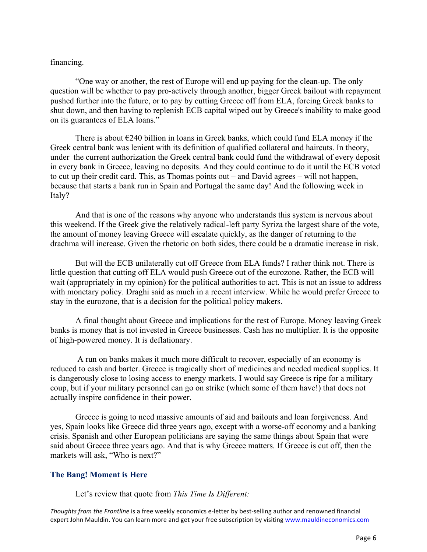#### financing.

"One way or another, the rest of Europe will end up paying for the clean-up. The only question will be whether to pay pro-actively through another, bigger Greek bailout with repayment pushed further into the future, or to pay by cutting Greece off from ELA, forcing Greek banks to shut down, and then having to replenish ECB capital wiped out by Greece's inability to make good on its guarantees of ELA loans."

There is about  $\epsilon$ 240 billion in loans in Greek banks, which could fund ELA money if the Greek central bank was lenient with its definition of qualified collateral and haircuts. In theory, under the current authorization the Greek central bank could fund the withdrawal of every deposit in every bank in Greece, leaving no deposits. And they could continue to do it until the ECB voted to cut up their credit card. This, as Thomas points out – and David agrees – will not happen, because that starts a bank run in Spain and Portugal the same day! And the following week in Italy?

And that is one of the reasons why anyone who understands this system is nervous about this weekend. If the Greek give the relatively radical-left party Syriza the largest share of the vote, the amount of money leaving Greece will escalate quickly, as the danger of returning to the drachma will increase. Given the rhetoric on both sides, there could be a dramatic increase in risk.

But will the ECB unilaterally cut off Greece from ELA funds? I rather think not. There is little question that cutting off ELA would push Greece out of the eurozone. Rather, the ECB will wait (appropriately in my opinion) for the political authorities to act. This is not an issue to address with monetary policy. Draghi said as much in a recent interview. While he would prefer Greece to stay in the eurozone, that is a decision for the political policy makers.

A final thought about Greece and implications for the rest of Europe. Money leaving Greek banks is money that is not invested in Greece businesses. Cash has no multiplier. It is the opposite of high-powered money. It is deflationary.

 A run on banks makes it much more difficult to recover, especially of an economy is reduced to cash and barter. Greece is tragically short of medicines and needed medical supplies. It is dangerously close to losing access to energy markets. I would say Greece is ripe for a military coup, but if your military personnel can go on strike (which some of them have!) that does not actually inspire confidence in their power.

Greece is going to need massive amounts of aid and bailouts and loan forgiveness. And yes, Spain looks like Greece did three years ago, except with a worse-off economy and a banking crisis. Spanish and other European politicians are saying the same things about Spain that were said about Greece three years ago. And that is why Greece matters. If Greece is cut off, then the markets will ask, "Who is next?"

## **The Bang! Moment is Here**

Let's review that quote from *This Time Is Different:*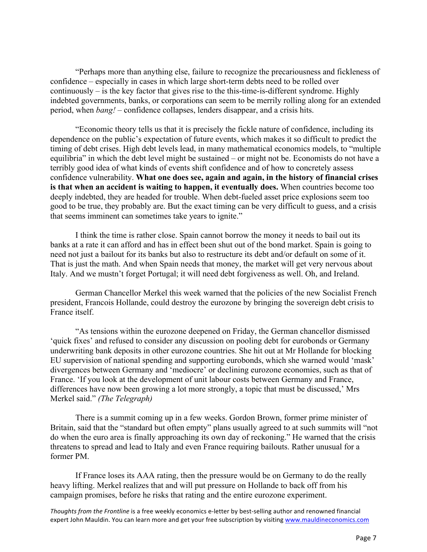"Perhaps more than anything else, failure to recognize the precariousness and fickleness of confidence – especially in cases in which large short-term debts need to be rolled over continuously – is the key factor that gives rise to the this-time-is-different syndrome. Highly indebted governments, banks, or corporations can seem to be merrily rolling along for an extended period, when *bang!* – confidence collapses, lenders disappear, and a crisis hits.

"Economic theory tells us that it is precisely the fickle nature of confidence, including its dependence on the public's expectation of future events, which makes it so difficult to predict the timing of debt crises. High debt levels lead, in many mathematical economics models, to "multiple equilibria" in which the debt level might be sustained – or might not be. Economists do not have a terribly good idea of what kinds of events shift confidence and of how to concretely assess confidence vulnerability. **What one does see, again and again, in the history of financial crises is that when an accident is waiting to happen, it eventually does.** When countries become too deeply indebted, they are headed for trouble. When debt-fueled asset price explosions seem too good to be true, they probably are. But the exact timing can be very difficult to guess, and a crisis that seems imminent can sometimes take years to ignite."

I think the time is rather close. Spain cannot borrow the money it needs to bail out its banks at a rate it can afford and has in effect been shut out of the bond market. Spain is going to need not just a bailout for its banks but also to restructure its debt and/or default on some of it. That is just the math. And when Spain needs that money, the market will get very nervous about Italy. And we mustn't forget Portugal; it will need debt forgiveness as well. Oh, and Ireland.

German Chancellor Merkel this week warned that the policies of the new Socialist French president, Francois Hollande, could destroy the eurozone by bringing the sovereign debt crisis to France itself.

"As tensions within the eurozone deepened on Friday, the German chancellor dismissed 'quick fixes' and refused to consider any discussion on pooling debt for eurobonds or Germany underwriting bank deposits in other eurozone countries. She hit out at Mr Hollande for blocking EU supervision of national spending and supporting eurobonds, which she warned would 'mask' divergences between Germany and 'mediocre' or declining eurozone economies, such as that of France. 'If you look at the development of unit labour costs between Germany and France, differences have now been growing a lot more strongly, a topic that must be discussed,' Mrs Merkel said." *(The Telegraph)*

There is a summit coming up in a few weeks. Gordon Brown, former prime minister of Britain, said that the "standard but often empty" plans usually agreed to at such summits will "not do when the euro area is finally approaching its own day of reckoning." He warned that the crisis threatens to spread and lead to Italy and even France requiring bailouts. Rather unusual for a former PM.

If France loses its AAA rating, then the pressure would be on Germany to do the really heavy lifting. Merkel realizes that and will put pressure on Hollande to back off from his campaign promises, before he risks that rating and the entire eurozone experiment.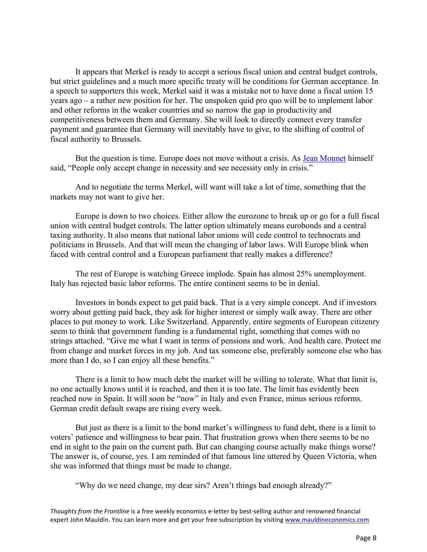It appears that Merkel is ready to accept a serious fiscal union and central budget controls, but strict guidelines and a much more specific treaty will be conditions for German acceptance. In a speech to supporters this week, Merkel said it was a mistake not to have done a fiscal union 15 years ago – a rather new position for her. The unspoken quid pro quo will be to implement labor and other reforms in the weaker countries and so narrow the gap in productivity and competitiveness between them and Germany. She will look to directly connect every transfer payment and guarantee that Germany will inevitably have to give, to the shifting of control of fiscal authority to Brussels.

But the question is time. Europe does not move without a crisis. As Jean Monnet himself said, "People only accept change in necessity and see necessity only in crisis."

And to negotiate the terms Merkel, will want will take a lot of time, something that the markets may not want to give her.

Europe is down to two choices. Either allow the eurozone to break up or go for a full fiscal union with central budget controls. The latter option ultimately means eurobonds and a central taxing authority. It also means that national labor unions will cede control to technocrats and politicians in Brussels. And that will mean the changing of labor laws. Will Europe blink when faced with central control and a European parliament that really makes a difference?

The rest of Europe is watching Greece implode. Spain has almost 25% unemployment. Italy has rejected basic labor reforms. The entire continent seems to be in denial.

Investors in bonds expect to get paid back. That is a very simple concept. And if investors worry about getting paid back, they ask for higher interest or simply walk away. There are other places to put money to work. Like Switzerland. Apparently, entire segments of European citizenry seem to think that government funding is a fundamental right, something that comes with no strings attached. "Give me what I want in terms of pensions and work. And health care. Protect me from change and market forces in my job. And tax someone else, preferably someone else who has more than I do, so I can enjoy all these benefits."

There is a limit to how much debt the market will be willing to tolerate. What that limit is, no one actually knows until it is reached, and then it is too late. The limit has evidently been reached now in Spain. It will soon be "now" in Italy and even France, minus serious reforms. German credit default swaps are rising every week.

But just as there is a limit to the bond market's willingness to fund debt, there is a limit to voters' patience and willingness to bear pain. That frustration grows when there seems to be no end in sight to the pain on the current path. But can changing course actually make things worse? The answer is, of course, yes. I am reminded of that famous line uttered by Queen Victoria, when she was informed that things must be made to change.

"Why do we need change, my dear sirs? Aren't things bad enough already?"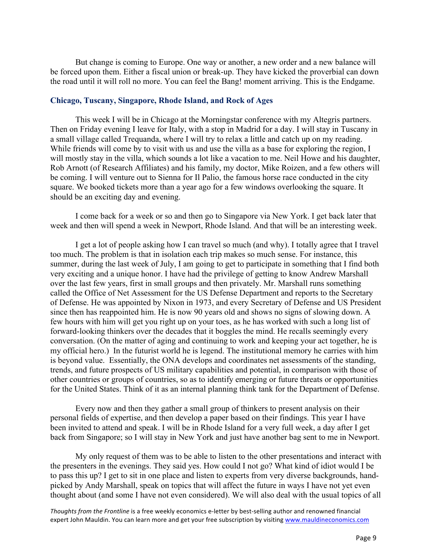But change is coming to Europe. One way or another, a new order and a new balance will be forced upon them. Either a fiscal union or break-up. They have kicked the proverbial can down the road until it will roll no more. You can feel the Bang! moment arriving. This is the Endgame.

#### **Chicago, Tuscany, Singapore, Rhode Island, and Rock of Ages**

This week I will be in Chicago at the Morningstar conference with my Altegris partners. Then on Friday evening I leave for Italy, with a stop in Madrid for a day. I will stay in Tuscany in a small village called Trequanda, where I will try to relax a little and catch up on my reading. While friends will come by to visit with us and use the villa as a base for exploring the region, I will mostly stay in the villa, which sounds a lot like a vacation to me. Neil Howe and his daughter, Rob Arnott (of Research Affiliates) and his family, my doctor, Mike Roizen, and a few others will be coming. I will venture out to Sienna for Il Palio, the famous horse race conducted in the city square. We booked tickets more than a year ago for a few windows overlooking the square. It should be an exciting day and evening.

I come back for a week or so and then go to Singapore via New York. I get back later that week and then will spend a week in Newport, Rhode Island. And that will be an interesting week.

I get a lot of people asking how I can travel so much (and why). I totally agree that I travel too much. The problem is that in isolation each trip makes so much sense. For instance, this summer, during the last week of July, I am going to get to participate in something that I find both very exciting and a unique honor. I have had the privilege of getting to know Andrew Marshall over the last few years, first in small groups and then privately. Mr. Marshall runs something called the Office of Net Assessment for the US Defense Department and reports to the Secretary of Defense. He was appointed by Nixon in 1973, and every Secretary of Defense and US President since then has reappointed him. He is now 90 years old and shows no signs of slowing down. A few hours with him will get you right up on your toes, as he has worked with such a long list of forward-looking thinkers over the decades that it boggles the mind. He recalls seemingly every conversation. (On the matter of aging and continuing to work and keeping your act together, he is my official hero.) In the futurist world he is legend. The institutional memory he carries with him is beyond value. Essentially, the ONA develops and coordinates net assessments of the standing, trends, and future prospects of US military capabilities and potential, in comparison with those of other countries or groups of countries, so as to identify emerging or future threats or opportunities for the United States. Think of it as an internal planning think tank for the Department of Defense.

Every now and then they gather a small group of thinkers to present analysis on their personal fields of expertise, and then develop a paper based on their findings. This year I have been invited to attend and speak. I will be in Rhode Island for a very full week, a day after I get back from Singapore; so I will stay in New York and just have another bag sent to me in Newport.

My only request of them was to be able to listen to the other presentations and interact with the presenters in the evenings. They said yes. How could I not go? What kind of idiot would I be to pass this up? I get to sit in one place and listen to experts from very diverse backgrounds, handpicked by Andy Marshall, speak on topics that will affect the future in ways I have not yet even thought about (and some I have not even considered). We will also deal with the usual topics of all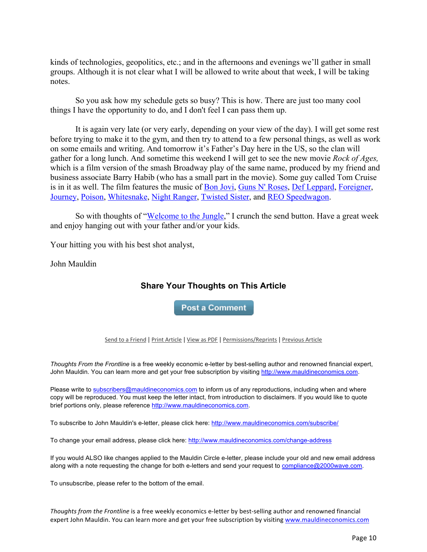kinds of technologies, geopolitics, etc.; and in the afternoons and evenings we'll gather in small groups. Although it is not clear what I will be allowed to write about that week, I will be taking notes.

So you ask how my schedule gets so busy? This is how. There are just too many cool things I have the opportunity to do, and I don't feel I can pass them up.

It is again very late (or very early, depending on your view of the day). I will get some rest before trying to make it to the gym, and then try to attend to a few personal things, as well as work on some emails and writing. And tomorrow it's Father's Day here in the US, so the clan will gather for a long lunch. And sometime this weekend I will get to see the new movie *Rock of Ages,* which is a film version of the smash Broadway play of the same name, produced by my friend and business associate Barry Habib (who has a small part in the movie). Some guy called Tom Cruise is in it as well. The film features the music of <u>Bon Jovi, Guns N' Roses, Def Leppard, Foreigner</u>, Journey, Poison, Whitesnake, Night Ranger, Twisted Sister, and REO Speedwagon.

So with thoughts of "Welcome to the Jungle," I crunch the send button. Have a great week and enjoy hanging out with your father and/or your kids.

Your hitting you with his best shot analyst,

John Mauldin

## **Share Your Thoughts on This Article**

**Post a Comment** 

Send to a Friend | Print Article | View as PDF | Permissions/Reprints | Previous Article

*Thoughts From the Frontline* is a free weekly economic e-letter by best-selling author and renowned financial expert, John Mauldin. You can learn more and get your free subscription by visiting http://www.mauldineconomics.com.

Please write to subscribers@mauldineconomics.com to inform us of any reproductions, including when and where copy will be reproduced. You must keep the letter intact, from introduction to disclaimers. If you would like to quote brief portions only, please reference http://www.mauldineconomics.com.

To subscribe to John Mauldin's e-letter, please click here: http://www.mauldineconomics.com/subscribe/

To change your email address, please click here: http://www.mauldineconomics.com/change-address

If you would ALSO like changes applied to the Mauldin Circle e-letter, please include your old and new email address along with a note requesting the change for both e-letters and send your request to compliance@2000wave.com.

To unsubscribe, please refer to the bottom of the email.